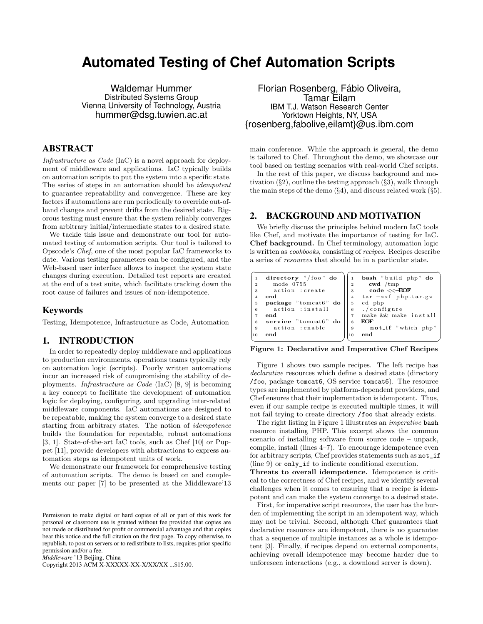# **Automated Testing of Chef Automation Scripts**

Waldemar Hummer Distributed Systems Group Vienna University of Technology, Austria hummer@dsg.tuwien.ac.at

# ABSTRACT

Infrastructure as Code (IaC) is a novel approach for deployment of middleware and applications. IaC typically builds on automation scripts to put the system into a specific state. The series of steps in an automation should be idempotent to guarantee repeatability and convergence. These are key factors if automations are run periodically to override out-ofband changes and prevent drifts from the desired state. Rigorous testing must ensure that the system reliably converges from arbitrary initial/intermediate states to a desired state.

We tackle this issue and demonstrate our tool for automated testing of automation scripts. Our tool is tailored to Opscode's Chef, one of the most popular IaC frameworks to date. Various testing parameters can be configured, and the Web-based user interface allows to inspect the system state changes during execution. Detailed test reports are created at the end of a test suite, which facilitate tracking down the root cause of failures and issues of non-idempotence.

## Keywords

Testing, Idempotence, Infrastructure as Code, Automation

#### 1. INTRODUCTION

In order to repeatedly deploy middleware and applications to production environments, operations teams typically rely on automation logic (scripts). Poorly written automations incur an increased risk of compromising the stability of deployments. Infrastructure as Code (IaC) [8, 9] is becoming a key concept to facilitate the development of automation logic for deploying, configuring, and upgrading inter-related middleware components. IaC automations are designed to be repeatable, making the system converge to a desired state starting from arbitrary states. The notion of idempotence builds the foundation for repeatable, robust automations [3, 1]. State-of-the-art IaC tools, such as Chef [10] or Puppet [11], provide developers with abstractions to express automation steps as idempotent units of work.

We demonstrate our framework for comprehensive testing of automation scripts. The demo is based on and complements our paper [7] to be presented at the Middleware'13

*Middleware* '13 Beijing, China

Copyright 2013 ACM X-XXXXX-XX-X/XX/XX ...\$15.00.

Florian Rosenberg, Fábio Oliveira, Tamar Eilam IBM T.J. Watson Research Center Yorktown Heights, NY, USA {rosenberg,fabolive,eilamt}@us.ibm.com

main conference. While the approach is general, the demo is tailored to Chef. Throughout the demo, we showcase our tool based on testing scenarios with real-world Chef scripts.

In the rest of this paper, we discuss background and motivation  $(\S2)$ , outline the testing approach  $(\S3)$ , walk through the main steps of the demo  $(\S4)$ , and discuss related work  $(\S5)$ .

# 2. BACKGROUND AND MOTIVATION

We briefly discuss the principles behind modern IaC tools like Chef, and motivate the importance of testing for IaC. Chef background. In Chef terminology, automation logic is written as cookbooks, consisting of recipes. Recipes describe a series of resources that should be in a particular state.

| directory "/foo" do  |                | bash "build php" do   |
|----------------------|----------------|-----------------------|
| mode 0755            | $\overline{2}$ | $\text{ewd}$ /tmp     |
| action : create      | 3              | $code <$ $\le$ $EOF$  |
| end                  | $\overline{4}$ | $tar -zxf$ php.tar.gz |
| package "tomcat6" do | 5              | cd php                |
| action : install     | 6              | ./configure           |
| end                  | $\overline{7}$ | make && make install  |
| service "tomcat6" do | 8              | <b>EOF</b>            |
| action : enable      | 9              | not_if "which php"    |
| end                  | 10             | end                   |

Figure 1: Declarative and Imperative Chef Recipes

Figure 1 shows two sample recipes. The left recipe has declarative resources which define a desired state (directory /foo, package tomcat6, OS service tomcat6). The resource types are implemented by platform-dependent providers, and Chef ensures that their implementation is idempotent. Thus, even if our sample recipe is executed multiple times, it will not fail trying to create directory /foo that already exists.

The right listing in Figure 1 illustrates an *imperative* bash resource installing PHP. This excerpt shows the common scenario of installing software from source code – unpack, compile, install (lines 4–7). To encourage idempotence even for arbitrary scripts, Chef provides statements such as not\_if (line 9) or only\_if to indicate conditional execution.

Threats to overall idempotence. Idempotence is critical to the correctness of Chef recipes, and we identify several challenges when it comes to ensuring that a recipe is idempotent and can make the system converge to a desired state.

First, for imperative script resources, the user has the burden of implementing the script in an idempotent way, which may not be trivial. Second, although Chef guarantees that declarative resources are idempotent, there is no guarantee that a sequence of multiple instances as a whole is idempotent [3]. Finally, if recipes depend on external components, achieving overall idempotence may become harder due to unforeseen interactions (e.g., a download server is down).

Permission to make digital or hard copies of all or part of this work for personal or classroom use is granted without fee provided that copies are not made or distributed for profit or commercial advantage and that copies bear this notice and the full citation on the first page. To copy otherwise, to republish, to post on servers or to redistribute to lists, requires prior specific permission and/or a fee.